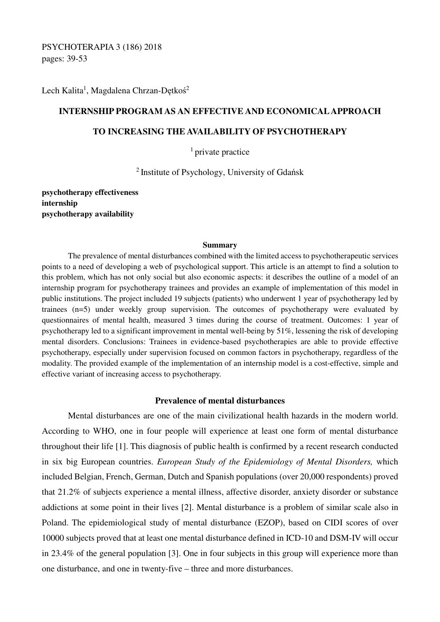# PSYCHOTERAPIA 3 (186) 2018

pages: 39-53

Lech Kalita<sup>1</sup>, Magdalena Chrzan-Dętkoś<sup>2</sup>

# **INTERNSHIP PROGRAM AS AN EFFECTIVE AND ECONOMICAL APPROACH**

## **TO INCREASING THE AVAILABILITY OF PSYCHOTHERAPY**

 $<sup>1</sup>$  private practice</sup>

<sup>2</sup>Institute of Psychology, University of Gdańsk

**psychotherapy effectiveness internship psychotherapy availability** 

#### **Summary**

The prevalence of mental disturbances combined with the limited access to psychotherapeutic services points to a need of developing a web of psychological support. This article is an attempt to find a solution to this problem, which has not only social but also economic aspects: it describes the outline of a model of an internship program for psychotherapy trainees and provides an example of implementation of this model in public institutions. The project included 19 subjects (patients) who underwent 1 year of psychotherapy led by trainees (n=5) under weekly group supervision. The outcomes of psychotherapy were evaluated by questionnaires of mental health, measured 3 times during the course of treatment. Outcomes: 1 year of psychotherapy led to a significant improvement in mental well-being by 51%, lessening the risk of developing mental disorders. Conclusions: Trainees in evidence-based psychotherapies are able to provide effective psychotherapy, especially under supervision focused on common factors in psychotherapy, regardless of the modality. The provided example of the implementation of an internship model is a cost-effective, simple and effective variant of increasing access to psychotherapy.

# **Prevalence of mental disturbances**

 Mental disturbances are one of the main civilizational health hazards in the modern world. According to WHO, one in four people will experience at least one form of mental disturbance throughout their life [1]. This diagnosis of public health is confirmed by a recent research conducted in six big European countries. *European Study of the Epidemiology of Mental Disorders,* which included Belgian, French, German, Dutch and Spanish populations (over 20,000 respondents) proved that 21.2% of subjects experience a mental illness, affective disorder, anxiety disorder or substance addictions at some point in their lives [2]. Mental disturbance is a problem of similar scale also in Poland. The epidemiological study of mental disturbance (EZOP), based on CIDI scores of over 10000 subjects proved that at least one mental disturbance defined in ICD-10 and DSM-IV will occur in 23.4% of the general population [3]. One in four subjects in this group will experience more than one disturbance, and one in twenty-five – three and more disturbances.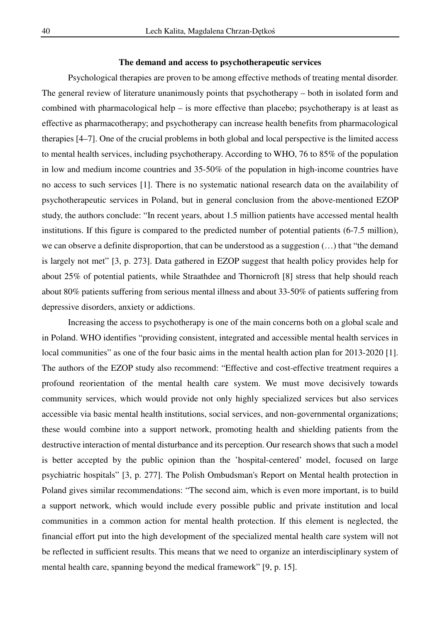#### **The demand and access to psychotherapeutic services**

Psychological therapies are proven to be among effective methods of treating mental disorder. The general review of literature unanimously points that psychotherapy – both in isolated form and combined with pharmacological help – is more effective than placebo; psychotherapy is at least as effective as pharmacotherapy; and psychotherapy can increase health benefits from pharmacological therapies [4–7]. One of the crucial problems in both global and local perspective is the limited access to mental health services, including psychotherapy. According to WHO, 76 to 85% of the population in low and medium income countries and 35-50% of the population in high-income countries have no access to such services [1]. There is no systematic national research data on the availability of psychotherapeutic services in Poland, but in general conclusion from the above-mentioned EZOP study, the authors conclude: "In recent years, about 1.5 million patients have accessed mental health institutions. If this figure is compared to the predicted number of potential patients (6-7.5 million), we can observe a definite disproportion, that can be understood as a suggestion (…) that "the demand is largely not met" [3, p. 273]. Data gathered in EZOP suggest that health policy provides help for about 25% of potential patients, while Straathdee and Thornicroft [8] stress that help should reach about 80% patients suffering from serious mental illness and about 33-50% of patients suffering from depressive disorders, anxiety or addictions.

Increasing the access to psychotherapy is one of the main concerns both on a global scale and in Poland. WHO identifies "providing consistent, integrated and accessible mental health services in local communities" as one of the four basic aims in the mental health action plan for 2013-2020 [1]. The authors of the EZOP study also recommend: "Effective and cost-effective treatment requires a profound reorientation of the mental health care system. We must move decisively towards community services, which would provide not only highly specialized services but also services accessible via basic mental health institutions, social services, and non-governmental organizations; these would combine into a support network, promoting health and shielding patients from the destructive interaction of mental disturbance and its perception. Our research shows that such a model is better accepted by the public opinion than the 'hospital-centered' model, focused on large psychiatric hospitals" [3, p. 277]. The Polish Ombudsman's Report on Mental health protection in Poland gives similar recommendations: "The second aim, which is even more important, is to build a support network, which would include every possible public and private institution and local communities in a common action for mental health protection. If this element is neglected, the financial effort put into the high development of the specialized mental health care system will not be reflected in sufficient results. This means that we need to organize an interdisciplinary system of mental health care, spanning beyond the medical framework" [9, p. 15].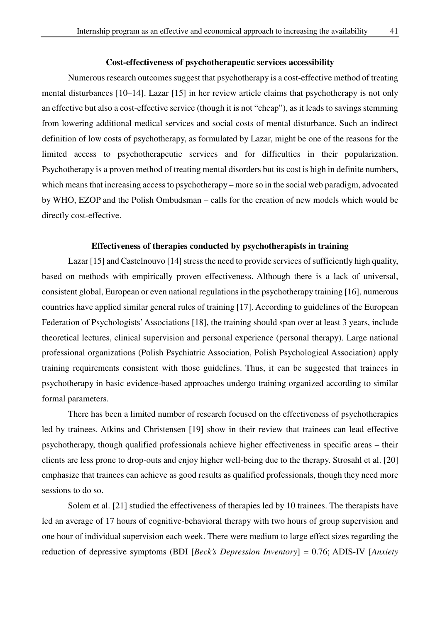## **Cost-effectiveness of psychotherapeutic services accessibility**

 Numerous research outcomes suggest that psychotherapy is a cost-effective method of treating mental disturbances [10–14]. Lazar [15] in her review article claims that psychotherapy is not only an effective but also a cost-effective service (though it is not "cheap"), as it leads to savings stemming from lowering additional medical services and social costs of mental disturbance. Such an indirect definition of low costs of psychotherapy, as formulated by Lazar, might be one of the reasons for the limited access to psychotherapeutic services and for difficulties in their popularization. Psychotherapy is a proven method of treating mental disorders but its cost is high in definite numbers, which means that increasing access to psychotherapy – more so in the social web paradigm, advocated by WHO, EZOP and the Polish Ombudsman – calls for the creation of new models which would be directly cost-effective.

#### **Effectiveness of therapies conducted by psychotherapists in training**

 Lazar [15] and Castelnouvo [14] stress the need to provide services of sufficiently high quality, based on methods with empirically proven effectiveness. Although there is a lack of universal, consistent global, European or even national regulations in the psychotherapy training [16], numerous countries have applied similar general rules of training [17]. According to guidelines of the European Federation of Psychologists' Associations [18], the training should span over at least 3 years, include theoretical lectures, clinical supervision and personal experience (personal therapy). Large national professional organizations (Polish Psychiatric Association, Polish Psychological Association) apply training requirements consistent with those guidelines. Thus, it can be suggested that trainees in psychotherapy in basic evidence-based approaches undergo training organized according to similar formal parameters.

 There has been a limited number of research focused on the effectiveness of psychotherapies led by trainees. Atkins and Christensen [19] show in their review that trainees can lead effective psychotherapy, though qualified professionals achieve higher effectiveness in specific areas – their clients are less prone to drop-outs and enjoy higher well-being due to the therapy. Strosahl et al. [20] emphasize that trainees can achieve as good results as qualified professionals, though they need more sessions to do so.

 Solem et al. [21] studied the effectiveness of therapies led by 10 trainees. The therapists have led an average of 17 hours of cognitive-behavioral therapy with two hours of group supervision and one hour of individual supervision each week. There were medium to large effect sizes regarding the reduction of depressive symptoms (BDI [*Beck's Depression Inventory*] = 0.76; ADIS-IV [*Anxiety*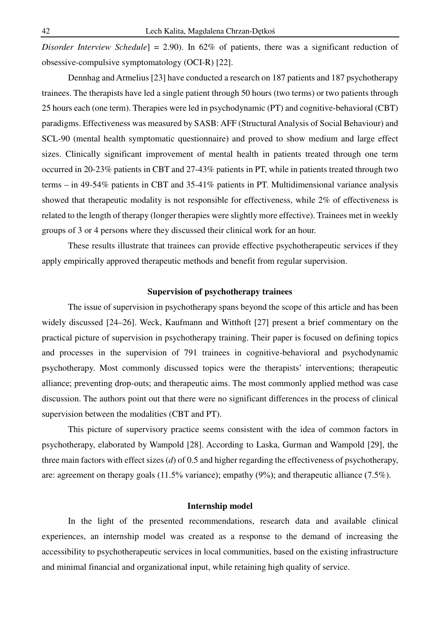*Disorder Interview Schedule*] = 2.90). In 62% of patients, there was a significant reduction of obsessive-compulsive symptomatology (OCI-R) [22].

 Dennhag and Armelius [23] have conducted a research on 187 patients and 187 psychotherapy trainees. The therapists have led a single patient through 50 hours (two terms) or two patients through 25 hours each (one term). Therapies were led in psychodynamic (PT) and cognitive-behavioral (CBT) paradigms. Effectiveness was measured by SASB: AFF (Structural Analysis of Social Behaviour) and SCL-90 (mental health symptomatic questionnaire) and proved to show medium and large effect sizes. Clinically significant improvement of mental health in patients treated through one term occurred in 20-23% patients in CBT and 27-43% patients in PT, while in patients treated through two terms – in 49-54% patients in CBT and 35-41% patients in PT. Multidimensional variance analysis showed that therapeutic modality is not responsible for effectiveness, while 2% of effectiveness is related to the length of therapy (longer therapies were slightly more effective). Trainees met in weekly groups of 3 or 4 persons where they discussed their clinical work for an hour.

 These results illustrate that trainees can provide effective psychotherapeutic services if they apply empirically approved therapeutic methods and benefit from regular supervision.

#### **Supervision of psychotherapy trainees**

The issue of supervision in psychotherapy spans beyond the scope of this article and has been widely discussed [24–26]. Weck, Kaufmann and Witthoft [27] present a brief commentary on the practical picture of supervision in psychotherapy training. Their paper is focused on defining topics and processes in the supervision of 791 trainees in cognitive-behavioral and psychodynamic psychotherapy. Most commonly discussed topics were the therapists' interventions; therapeutic alliance; preventing drop-outs; and therapeutic aims. The most commonly applied method was case discussion. The authors point out that there were no significant differences in the process of clinical supervision between the modalities (CBT and PT).

 This picture of supervisory practice seems consistent with the idea of common factors in psychotherapy, elaborated by Wampold [28]. According to Laska, Gurman and Wampold [29], the three main factors with effect sizes (*d*) of 0.5 and higher regarding the effectiveness of psychotherapy, are: agreement on therapy goals (11.5% variance); empathy (9%); and therapeutic alliance (7.5%).

# **Internship model**

In the light of the presented recommendations, research data and available clinical experiences, an internship model was created as a response to the demand of increasing the accessibility to psychotherapeutic services in local communities, based on the existing infrastructure and minimal financial and organizational input, while retaining high quality of service.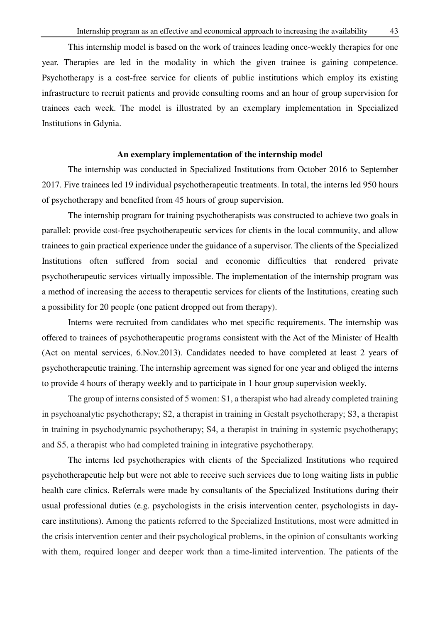This internship model is based on the work of trainees leading once-weekly therapies for one year. Therapies are led in the modality in which the given trainee is gaining competence. Psychotherapy is a cost-free service for clients of public institutions which employ its existing infrastructure to recruit patients and provide consulting rooms and an hour of group supervision for trainees each week. The model is illustrated by an exemplary implementation in Specialized Institutions in Gdynia.

# **An exemplary implementation of the internship model**

 The internship was conducted in Specialized Institutions from October 2016 to September 2017. Five trainees led 19 individual psychotherapeutic treatments. In total, the interns led 950 hours of psychotherapy and benefited from 45 hours of group supervision.

 The internship program for training psychotherapists was constructed to achieve two goals in parallel: provide cost-free psychotherapeutic services for clients in the local community, and allow trainees to gain practical experience under the guidance of a supervisor. The clients of the Specialized Institutions often suffered from social and economic difficulties that rendered private psychotherapeutic services virtually impossible. The implementation of the internship program was a method of increasing the access to therapeutic services for clients of the Institutions, creating such a possibility for 20 people (one patient dropped out from therapy).

 Interns were recruited from candidates who met specific requirements. The internship was offered to trainees of psychotherapeutic programs consistent with the Act of the Minister of Health (Act on mental services, 6.Nov.2013). Candidates needed to have completed at least 2 years of psychotherapeutic training. The internship agreement was signed for one year and obliged the interns to provide 4 hours of therapy weekly and to participate in 1 hour group supervision weekly.

The group of interns consisted of 5 women: S1, a therapist who had already completed training in psychoanalytic psychotherapy; S2, a therapist in training in Gestalt psychotherapy; S3, a therapist in training in psychodynamic psychotherapy; S4, a therapist in training in systemic psychotherapy; and S5, a therapist who had completed training in integrative psychotherapy.

 The interns led psychotherapies with clients of the Specialized Institutions who required psychotherapeutic help but were not able to receive such services due to long waiting lists in public health care clinics. Referrals were made by consultants of the Specialized Institutions during their usual professional duties (e.g. psychologists in the crisis intervention center, psychologists in daycare institutions). Among the patients referred to the Specialized Institutions, most were admitted in the crisis intervention center and their psychological problems, in the opinion of consultants working with them, required longer and deeper work than a time-limited intervention. The patients of the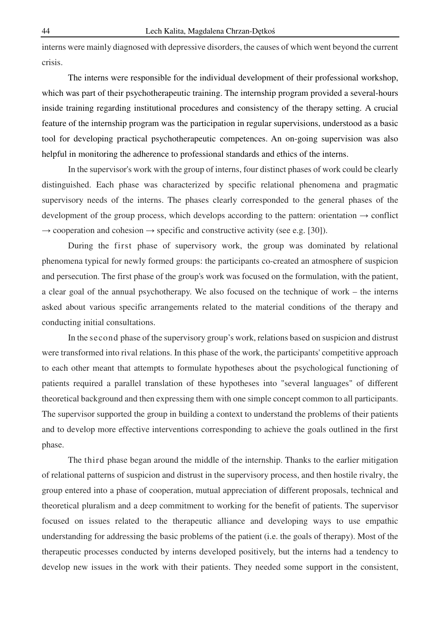interns were mainly diagnosed with depressive disorders, the causes of which went beyond the current crisis.

 The interns were responsible for the individual development of their professional workshop, which was part of their psychotherapeutic training. The internship program provided a several-hours inside training regarding institutional procedures and consistency of the therapy setting. A crucial feature of the internship program was the participation in regular supervisions, understood as a basic tool for developing practical psychotherapeutic competences. An on-going supervision was also helpful in monitoring the adherence to professional standards and ethics of the interns.

In the supervisor's work with the group of interns, four distinct phases of work could be clearly distinguished. Each phase was characterized by specific relational phenomena and pragmatic supervisory needs of the interns. The phases clearly corresponded to the general phases of the development of the group process, which develops according to the pattern: orientation  $\rightarrow$  conflict  $\rightarrow$  cooperation and cohesion  $\rightarrow$  specific and constructive activity (see e.g. [30]).

 During the first phase of supervisory work, the group was dominated by relational phenomena typical for newly formed groups: the participants co-created an atmosphere of suspicion and persecution. The first phase of the group's work was focused on the formulation, with the patient, a clear goal of the annual psychotherapy. We also focused on the technique of work – the interns asked about various specific arrangements related to the material conditions of the therapy and conducting initial consultations.

 In the second phase of the supervisory group's work, relations based on suspicion and distrust were transformed into rival relations. In this phase of the work, the participants' competitive approach to each other meant that attempts to formulate hypotheses about the psychological functioning of patients required a parallel translation of these hypotheses into "several languages" of different theoretical background and then expressing them with one simple concept common to all participants. The supervisor supported the group in building a context to understand the problems of their patients and to develop more effective interventions corresponding to achieve the goals outlined in the first phase.

The third phase began around the middle of the internship. Thanks to the earlier mitigation of relational patterns of suspicion and distrust in the supervisory process, and then hostile rivalry, the group entered into a phase of cooperation, mutual appreciation of different proposals, technical and theoretical pluralism and a deep commitment to working for the benefit of patients. The supervisor focused on issues related to the therapeutic alliance and developing ways to use empathic understanding for addressing the basic problems of the patient (i.e. the goals of therapy). Most of the therapeutic processes conducted by interns developed positively, but the interns had a tendency to develop new issues in the work with their patients. They needed some support in the consistent,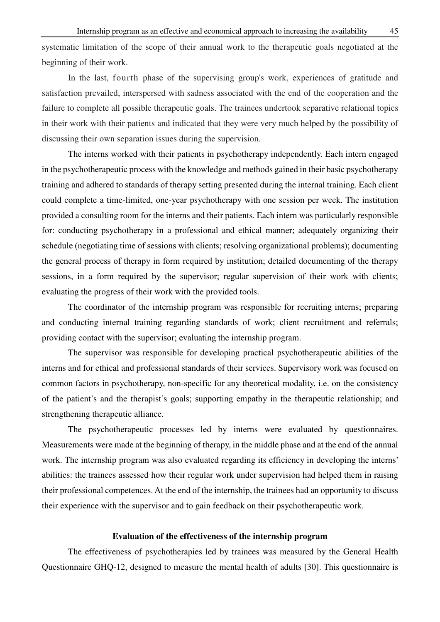systematic limitation of the scope of their annual work to the therapeutic goals negotiated at the beginning of their work.

In the last, fourth phase of the supervising group's work, experiences of gratitude and satisfaction prevailed, interspersed with sadness associated with the end of the cooperation and the failure to complete all possible therapeutic goals. The trainees undertook separative relational topics in their work with their patients and indicated that they were very much helped by the possibility of discussing their own separation issues during the supervision.

The interns worked with their patients in psychotherapy independently. Each intern engaged in the psychotherapeutic process with the knowledge and methods gained in their basic psychotherapy training and adhered to standards of therapy setting presented during the internal training. Each client could complete a time-limited, one-year psychotherapy with one session per week. The institution provided a consulting room for the interns and their patients. Each intern was particularly responsible for: conducting psychotherapy in a professional and ethical manner; adequately organizing their schedule (negotiating time of sessions with clients; resolving organizational problems); documenting the general process of therapy in form required by institution; detailed documenting of the therapy sessions, in a form required by the supervisor; regular supervision of their work with clients; evaluating the progress of their work with the provided tools.

 The coordinator of the internship program was responsible for recruiting interns; preparing and conducting internal training regarding standards of work; client recruitment and referrals; providing contact with the supervisor; evaluating the internship program.

 The supervisor was responsible for developing practical psychotherapeutic abilities of the interns and for ethical and professional standards of their services. Supervisory work was focused on common factors in psychotherapy, non-specific for any theoretical modality, i.e. on the consistency of the patient's and the therapist's goals; supporting empathy in the therapeutic relationship; and strengthening therapeutic alliance.

 The psychotherapeutic processes led by interns were evaluated by questionnaires. Measurements were made at the beginning of therapy, in the middle phase and at the end of the annual work. The internship program was also evaluated regarding its efficiency in developing the interns' abilities: the trainees assessed how their regular work under supervision had helped them in raising their professional competences. At the end of the internship, the trainees had an opportunity to discuss their experience with the supervisor and to gain feedback on their psychotherapeutic work.

#### **Evaluation of the effectiveness of the internship program**

The effectiveness of psychotherapies led by trainees was measured by the General Health Questionnaire GHQ-12, designed to measure the mental health of adults [30]. This questionnaire is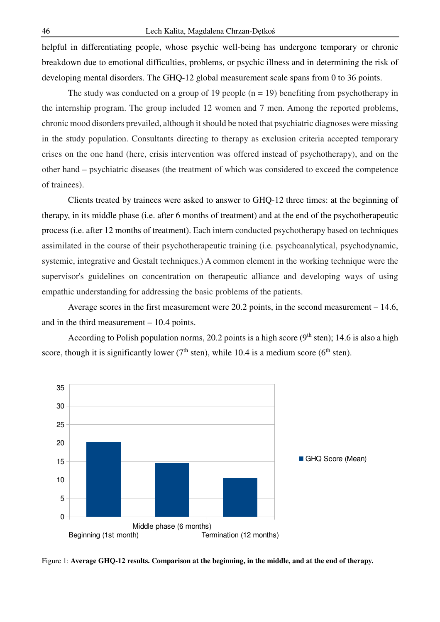helpful in differentiating people, whose psychic well-being has undergone temporary or chronic breakdown due to emotional difficulties, problems, or psychic illness and in determining the risk of developing mental disorders. The GHQ-12 global measurement scale spans from 0 to 36 points.

The study was conducted on a group of 19 people  $(n = 19)$  benefiting from psychotherapy in the internship program. The group included 12 women and 7 men. Among the reported problems, chronic mood disorders prevailed, although it should be noted that psychiatric diagnoses were missing in the study population. Consultants directing to therapy as exclusion criteria accepted temporary crises on the one hand (here, crisis intervention was offered instead of psychotherapy), and on the other hand – psychiatric diseases (the treatment of which was considered to exceed the competence of trainees).

 Clients treated by trainees were asked to answer to GHQ-12 three times: at the beginning of therapy, in its middle phase (i.e. after 6 months of treatment) and at the end of the psychotherapeutic process (i.e. after 12 months of treatment). Each intern conducted psychotherapy based on techniques assimilated in the course of their psychotherapeutic training (i.e. psychoanalytical, psychodynamic, systemic, integrative and Gestalt techniques.) A common element in the working technique were the supervisor's guidelines on concentration on therapeutic alliance and developing ways of using empathic understanding for addressing the basic problems of the patients.

 Average scores in the first measurement were 20.2 points, in the second measurement – 14.6, and in the third measurement – 10.4 points.

According to Polish population norms, 20.2 points is a high score  $(9<sup>th</sup>$  sten); 14.6 is also a high score, though it is significantly lower ( $7<sup>th</sup>$  sten), while 10.4 is a medium score ( $6<sup>th</sup>$  sten).



Figure 1: **Average GHQ-12 results. Comparison at the beginning, in the middle, and at the end of therapy.**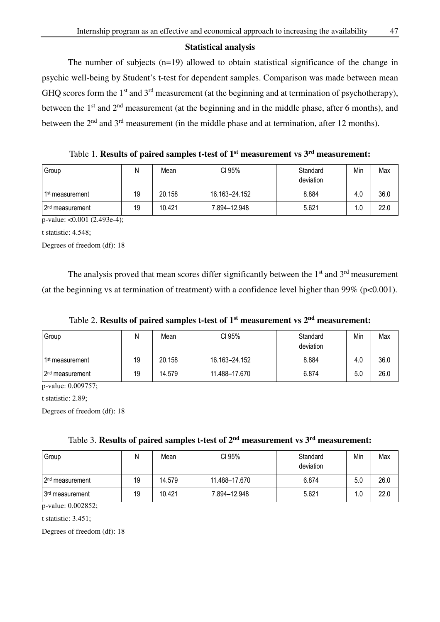# **Statistical analysis**

 The number of subjects (n=19) allowed to obtain statistical significance of the change in psychic well-being by Student's t-test for dependent samples. Comparison was made between mean GHQ scores form the  $1<sup>st</sup>$  and  $3<sup>rd</sup>$  measurement (at the beginning and at termination of psychotherapy), between the 1<sup>st</sup> and 2<sup>nd</sup> measurement (at the beginning and in the middle phase, after 6 months), and between the 2<sup>nd</sup> and 3<sup>rd</sup> measurement (in the middle phase and at termination, after 12 months).

Table 1. **Results of paired samples t-test of 1st measurement vs 3rd measurement:**

| Group                        | Ν  | Mean   | CI 95%        | Standard<br>deviation | Min | Max  |
|------------------------------|----|--------|---------------|-----------------------|-----|------|
| 1 <sup>st</sup> measurement  | 19 | 20.158 | 16.163-24.152 | 8.884                 | 4.0 | 36.0 |
| ⊦2 <sup>nd</sup> measurement | 19 | 10.421 | 7.894-12.948  | 5.621                 | 1.0 | 22.0 |

p-value: <0.001 (2.493e-4);

t statistic: 4.548;

Degrees of freedom (df): 18

The analysis proved that mean scores differ significantly between the  $1<sup>st</sup>$  and  $3<sup>rd</sup>$  measurement (at the beginning vs at termination of treatment) with a confidence level higher than  $99\%$  (p<0.001).

|  |  |  |  | Table 2. Results of paired samples t-test of $1st$ measurement vs $2nd$ measurement: |  |  |
|--|--|--|--|--------------------------------------------------------------------------------------|--|--|
|--|--|--|--|--------------------------------------------------------------------------------------|--|--|

| Group                       | Ν  | Mean   | CI 95%        | Standard<br>deviation | Min | Max  |
|-----------------------------|----|--------|---------------|-----------------------|-----|------|
| 1 <sup>st</sup> measurement | 19 | 20.158 | 16.163-24.152 | 8.884                 | 4.0 | 36.0 |
| 2 <sup>nd</sup> measurement | 19 | 14.579 | 11.488-17.670 | 6.874                 | 5.0 | 26.0 |

p-value: 0.009757;

t statistic: 2.89;

Degrees of freedom (df): 18

| Table 3. Results of paired samples t-test of 2 <sup>nd</sup> measurement vs 3 <sup>rd</sup> measurement: |  |  |  |  |  |
|----------------------------------------------------------------------------------------------------------|--|--|--|--|--|
|----------------------------------------------------------------------------------------------------------|--|--|--|--|--|

| Group                                  | Ν  | Mean   | CI 95%        | Standard<br>deviation | Min | Max  |
|----------------------------------------|----|--------|---------------|-----------------------|-----|------|
| ⊩2 <sup>nd</sup> measurement           | 19 | 14.579 | 11.488-17.670 | 6.874                 | 5.0 | 26.0 |
| 3 <sup>rd</sup> measurement<br>0.00000 | 19 | 10.421 | 7.894-12.948  | 5.621                 | 1.0 | 22.0 |

p-value: 0.002852;

t statistic: 3.451;

Degrees of freedom (df): 18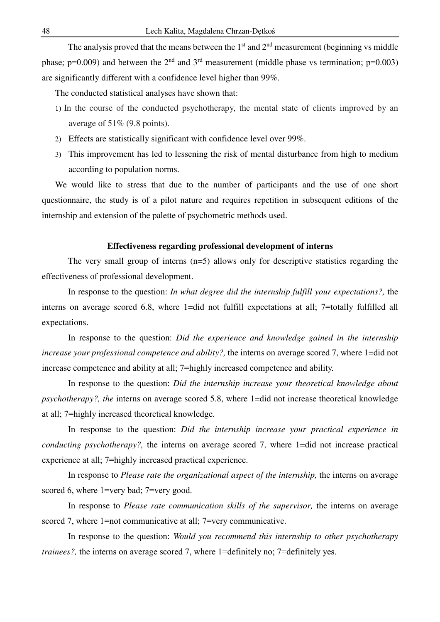The analysis proved that the means between the  $1<sup>st</sup>$  and  $2<sup>nd</sup>$  measurement (beginning vs middle phase; p=0.009) and between the  $2<sup>nd</sup>$  and  $3<sup>rd</sup>$  measurement (middle phase vs termination; p=0.003) are significantly different with a confidence level higher than 99%.

The conducted statistical analyses have shown that:

- 1) In the course of the conducted psychotherapy, the mental state of clients improved by an average of 51% (9.8 points).
- 2) Effects are statistically significant with confidence level over 99%.
- 3) This improvement has led to lessening the risk of mental disturbance from high to medium according to population norms.

We would like to stress that due to the number of participants and the use of one short questionnaire, the study is of a pilot nature and requires repetition in subsequent editions of the internship and extension of the palette of psychometric methods used.

#### **Effectiveness regarding professional development of interns**

 The very small group of interns (n=5) allows only for descriptive statistics regarding the effectiveness of professional development.

 In response to the question: *In what degree did the internship fulfill your expectations?,* the interns on average scored 6.8, where 1=did not fulfill expectations at all; 7=totally fulfilled all expectations.

 In response to the question: *Did the experience and knowledge gained in the internship increase your professional competence and ability?,* the interns on average scored 7, where 1=did not increase competence and ability at all; 7=highly increased competence and ability.

 In response to the question: *Did the internship increase your theoretical knowledge about psychotherapy?, the* interns on average scored 5.8, where 1=did not increase theoretical knowledge at all; 7=highly increased theoretical knowledge.

 In response to the question: *Did the internship increase your practical experience in conducting psychotherapy?,* the interns on average scored 7, where 1=did not increase practical experience at all; 7=highly increased practical experience.

In response to *Please rate the organizational aspect of the internship*, the interns on average scored 6, where 1=very bad; 7=very good.

 In response to *Please rate communication skills of the supervisor,* the interns on average scored 7, where 1=not communicative at all; 7=very communicative.

 In response to the question: *Would you recommend this internship to other psychotherapy trainees?*, the interns on average scored 7, where 1=definitely no; 7=definitely yes.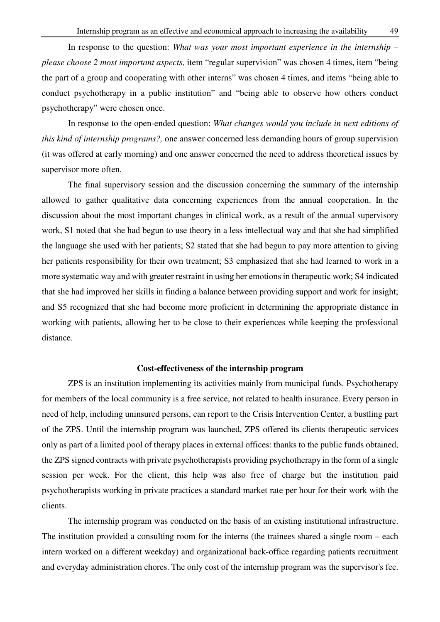In response to the question: *What was your most important experience in the internship – please choose 2 most important aspects,* item "regular supervision" was chosen 4 times, item "being the part of a group and cooperating with other interns" was chosen 4 times, and items "being able to conduct psychotherapy in a public institution" and "being able to observe how others conduct psychotherapy" were chosen once.

 In response to the open-ended question: *What changes would you include in next editions of this kind of internship programs?,* one answer concerned less demanding hours of group supervision (it was offered at early morning) and one answer concerned the need to address theoretical issues by supervisor more often.

 The final supervisory session and the discussion concerning the summary of the internship allowed to gather qualitative data concerning experiences from the annual cooperation. In the discussion about the most important changes in clinical work, as a result of the annual supervisory work, S1 noted that she had begun to use theory in a less intellectual way and that she had simplified the language she used with her patients; S2 stated that she had begun to pay more attention to giving her patients responsibility for their own treatment; S3 emphasized that she had learned to work in a more systematic way and with greater restraint in using her emotions in therapeutic work; S4 indicated that she had improved her skills in finding a balance between providing support and work for insight; and S5 recognized that she had become more proficient in determining the appropriate distance in working with patients, allowing her to be close to their experiences while keeping the professional distance.

## **Cost-effectiveness of the internship program**

 ZPS is an institution implementing its activities mainly from municipal funds. Psychotherapy for members of the local community is a free service, not related to health insurance. Every person in need of help, including uninsured persons, can report to the Crisis Intervention Center, a bustling part of the ZPS. Until the internship program was launched, ZPS offered its clients therapeutic services only as part of a limited pool of therapy places in external offices: thanks to the public funds obtained, the ZPS signed contracts with private psychotherapists providing psychotherapy in the form of a single session per week. For the client, this help was also free of charge but the institution paid psychotherapists working in private practices a standard market rate per hour for their work with the clients.

The internship program was conducted on the basis of an existing institutional infrastructure. The institution provided a consulting room for the interns (the trainees shared a single room – each intern worked on a different weekday) and organizational back-office regarding patients recruitment and everyday administration chores. The only cost of the internship program was the supervisor's fee.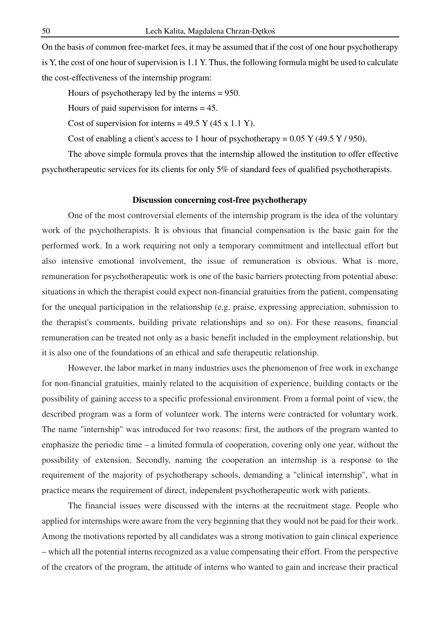On the basis of common free-market fees, it may be assumed that if the cost of one hour psychotherapy is Y, the cost of one hour of supervision is 1.1 Y. Thus, the following formula might be used to calculate the cost-effectiveness of the internship program:

Hours of psychotherapy led by the interns = 950.

Hours of paid supervision for interns = 45.

Cost of supervision for interns =  $49.5$  Y (45 x 1.1 Y).

Cost of enabling a client's access to 1 hour of psychotherapy =  $0.05$  Y (49.5 Y / 950).

 The above simple formula proves that the internship allowed the institution to offer effective psychotherapeutic services for its clients for only 5% of standard fees of qualified psychotherapists.

#### **Discussion concerning cost-free psychotherapy**

 One of the most controversial elements of the internship program is the idea of the voluntary work of the psychotherapists. It is obvious that financial compensation is the basic gain for the performed work. In a work requiring not only a temporary commitment and intellectual effort but also intensive emotional involvement, the issue of remuneration is obvious. What is more, remuneration for psychotherapeutic work is one of the basic barriers protecting from potential abuse: situations in which the therapist could expect non-financial gratuities from the patient, compensating for the unequal participation in the relationship (e.g. praise, expressing appreciation, submission to the therapist's comments, building private relationships and so on). For these reasons, financial remuneration can be treated not only as a basic benefit included in the employment relationship, but it is also one of the foundations of an ethical and safe therapeutic relationship.

 However, the labor market in many industries uses the phenomenon of free work in exchange for non-financial gratuities, mainly related to the acquisition of experience, building contacts or the possibility of gaining access to a specific professional environment. From a formal point of view, the described program was a form of volunteer work. The interns were contracted for voluntary work. The name "internship" was introduced for two reasons: first, the authors of the program wanted to emphasize the periodic time – a limited formula of cooperation, covering only one year, without the possibility of extension. Secondly, naming the cooperation an internship is a response to the requirement of the majority of psychotherapy schools, demanding a "clinical internship", what in practice means the requirement of direct, independent psychotherapeutic work with patients.

The financial issues were discussed with the interns at the recruitment stage. People who applied for internships were aware from the very beginning that they would not be paid for their work. Among the motivations reported by all candidates was a strong motivation to gain clinical experience – which all the potential interns recognized as a value compensating their effort. From the perspective of the creators of the program, the attitude of interns who wanted to gain and increase their practical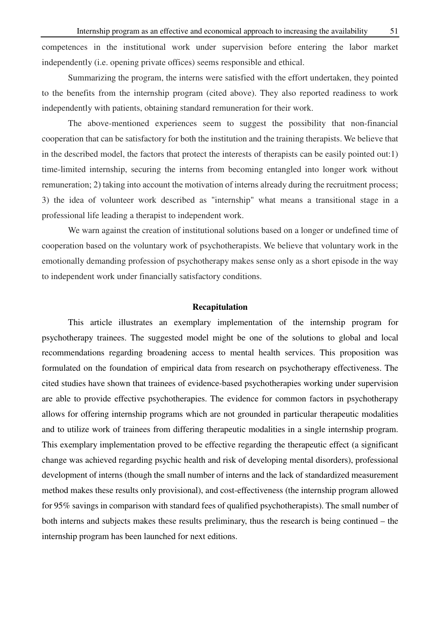competences in the institutional work under supervision before entering the labor market independently (i.e. opening private offices) seems responsible and ethical.

 Summarizing the program, the interns were satisfied with the effort undertaken, they pointed to the benefits from the internship program (cited above). They also reported readiness to work independently with patients, obtaining standard remuneration for their work.

The above-mentioned experiences seem to suggest the possibility that non-financial cooperation that can be satisfactory for both the institution and the training therapists. We believe that in the described model, the factors that protect the interests of therapists can be easily pointed out:1) time-limited internship, securing the interns from becoming entangled into longer work without remuneration; 2) taking into account the motivation of interns already during the recruitment process; 3) the idea of volunteer work described as "internship" what means a transitional stage in a professional life leading a therapist to independent work.

We warn against the creation of institutional solutions based on a longer or undefined time of cooperation based on the voluntary work of psychotherapists. We believe that voluntary work in the emotionally demanding profession of psychotherapy makes sense only as a short episode in the way to independent work under financially satisfactory conditions.

# **Recapitulation**

 This article illustrates an exemplary implementation of the internship program for psychotherapy trainees. The suggested model might be one of the solutions to global and local recommendations regarding broadening access to mental health services. This proposition was formulated on the foundation of empirical data from research on psychotherapy effectiveness. The cited studies have shown that trainees of evidence-based psychotherapies working under supervision are able to provide effective psychotherapies. The evidence for common factors in psychotherapy allows for offering internship programs which are not grounded in particular therapeutic modalities and to utilize work of trainees from differing therapeutic modalities in a single internship program. This exemplary implementation proved to be effective regarding the therapeutic effect (a significant change was achieved regarding psychic health and risk of developing mental disorders), professional development of interns (though the small number of interns and the lack of standardized measurement method makes these results only provisional), and cost-effectiveness (the internship program allowed for 95% savings in comparison with standard fees of qualified psychotherapists). The small number of both interns and subjects makes these results preliminary, thus the research is being continued – the internship program has been launched for next editions.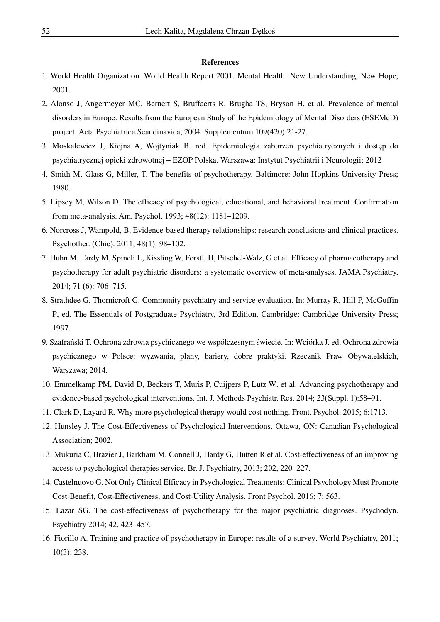#### **References**

- 1. World Health Organization. World Health Report 2001. Mental Health: New Understanding, New Hope; 2001.
- 2. Alonso J, Angermeyer MC, Bernert S, Bruffaerts R, Brugha TS, Bryson H, et al. Prevalence of mental disorders in Europe: Results from the European Study of the Epidemiology of Mental Disorders (ESEMeD) project. Acta Psychiatrica Scandinavica, 2004. Supplementum 109(420):21-27.
- 3. Moskalewicz J, Kiejna A, Wojtyniak B. red. Epidemiologia zaburzeń psychiatrycznych i dostęp do psychiatrycznej opieki zdrowotnej – EZOP Polska. Warszawa: Instytut Psychiatrii i Neurologii; 2012
- 4. Smith M, Glass G, Miller, T. The benefits of psychotherapy. Baltimore: John Hopkins University Press; 1980.
- 5. Lipsey M, Wilson D. The efficacy of psychological, educational, and behavioral treatment. Confirmation from meta-analysis. Am. Psychol. 1993; 48(12): 1181–1209.
- 6. Norcross J, Wampold, B. Evidence-based therapy relationships: research conclusions and clinical practices. Psychother. (Chic). 2011; 48(1): 98–102.
- 7. Huhn M, Tardy M, Spineli L, Kissling W, Forstl, H, Pitschel-Walz, G et al. Efficacy of pharmacotherapy and psychotherapy for adult psychiatric disorders: a systematic overview of meta-analyses. JAMA Psychiatry, 2014; 71 (6): 706–715.
- 8. Strathdee G, Thornicroft G. Community psychiatry and service evaluation. In: Murray R, Hill P, McGuffin P, ed. The Essentials of Postgraduate Psychiatry, 3rd Edition. Cambridge: Cambridge University Press; 1997.
- 9. Szafrański T. Ochrona zdrowia psychicznego we współczesnym świecie. In: Wciórka J. ed. Ochrona zdrowia psychicznego w Polsce: wyzwania, plany, bariery, dobre praktyki. Rzecznik Praw Obywatelskich, Warszawa; 2014.
- 10. Emmelkamp PM, David D, Beckers T, Muris P, Cuijpers P, Lutz W. et al. Advancing psychotherapy and evidence-based psychological interventions. Int. J. Methods Psychiatr. Res. 2014; 23(Suppl. 1):58–91.
- 11. Clark D, Layard R. Why more psychological therapy would cost nothing. Front. Psychol. 2015; 6:1713.
- 12. Hunsley J. The Cost-Effectiveness of Psychological Interventions. Ottawa, ON: Canadian Psychological Association; 2002.
- 13. Mukuria C, Brazier J, Barkham M, Connell J, Hardy G, Hutten R et al. Cost-effectiveness of an improving access to psychological therapies service. Br. J. Psychiatry, 2013; 202, 220–227.
- 14. Castelnuovo G. Not Only Clinical Efficacy in Psychological Treatments: Clinical Psychology Must Promote Cost-Benefit, Cost-Effectiveness, and Cost-Utility Analysis. Front Psychol. 2016; 7: 563.
- 15. Lazar SG. The cost-effectiveness of psychotherapy for the major psychiatric diagnoses. Psychodyn. Psychiatry 2014; 42, 423–457.
- 16. Fiorillo A. Training and practice of psychotherapy in Europe: results of a survey. World Psychiatry, 2011; 10(3): 238.